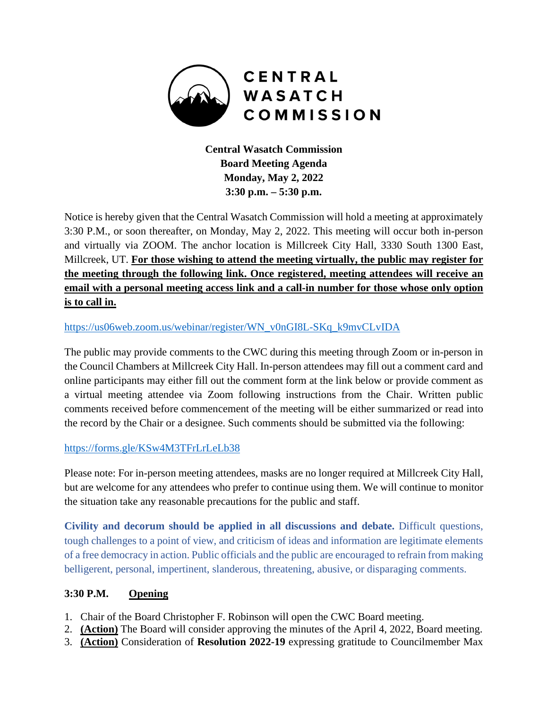

**Central Wasatch Commission Board Meeting Agenda Monday, May 2, 2022 3:30 p.m. – 5:30 p.m.** 

Notice is hereby given that the Central Wasatch Commission will hold a meeting at approximately 3:30 P.M., or soon thereafter, on Monday, May 2, 2022. This meeting will occur both in-person and virtually via ZOOM. The anchor location is Millcreek City Hall, 3330 South 1300 East, Millcreek, UT. **For those wishing to attend the meeting virtually, the public may register for the meeting through the following link. Once registered, meeting attendees will receive an email with a personal meeting access link and a call-in number for those whose only option is to call in.** 

#### https://us06web.zoom.us/webinar/register/WN\_v0nGI8L-SKq\_k9mvCLvIDA

The public may provide comments to the CWC during this meeting through Zoom or in-person in the Council Chambers at Millcreek City Hall. In-person attendees may fill out a comment card and online participants may either fill out the comment form at the link below or provide comment as a virtual meeting attendee via Zoom following instructions from the Chair. Written public comments received before commencement of the meeting will be either summarized or read into the record by the Chair or a designee. Such comments should be submitted via the following:

#### https://forms.gle/KSw4M3TFrLrLeLb38

Please note: For in-person meeting attendees, masks are no longer required at Millcreek City Hall, but are welcome for any attendees who prefer to continue using them. We will continue to monitor the situation take any reasonable precautions for the public and staff.

**Civility and decorum should be applied in all discussions and debate.** Difficult questions, tough challenges to a point of view, and criticism of ideas and information are legitimate elements of a free democracy in action. Public officials and the public are encouraged to refrain from making belligerent, personal, impertinent, slanderous, threatening, abusive, or disparaging comments.

#### **3:30 P.M. Opening**

- 1. Chair of the Board Christopher F. Robinson will open the CWC Board meeting.
- 2. **(Action)** The Board will consider approving the minutes of the April 4, 2022, Board meeting.
- 3. **(Action)** Consideration of **Resolution 2022-19** expressing gratitude to Councilmember Max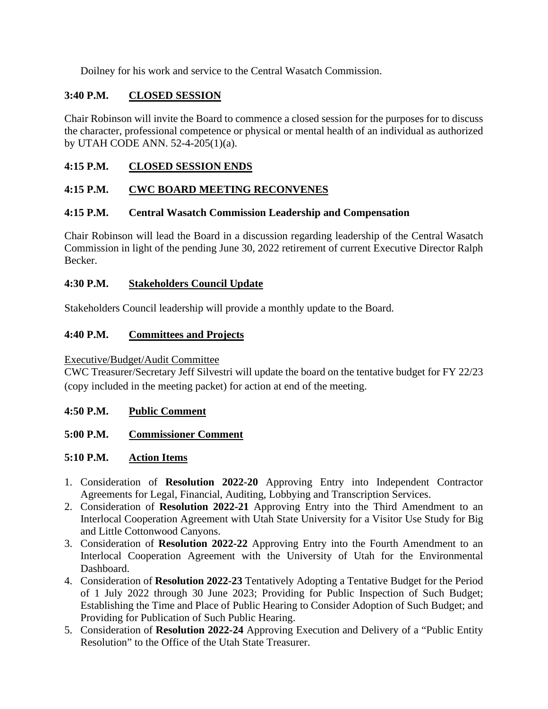Doilney for his work and service to the Central Wasatch Commission.

# **3:40 P.M. CLOSED SESSION**

Chair Robinson will invite the Board to commence a closed session for the purposes for to discuss the character, professional competence or physical or mental health of an individual as authorized by UTAH CODE ANN. 52-4-205(1)(a).

## **4:15 P.M. CLOSED SESSION ENDS**

## **4:15 P.M. CWC BOARD MEETING RECONVENES**

## **4:15 P.M. Central Wasatch Commission Leadership and Compensation**

Chair Robinson will lead the Board in a discussion regarding leadership of the Central Wasatch Commission in light of the pending June 30, 2022 retirement of current Executive Director Ralph Becker.

## **4:30 P.M. Stakeholders Council Update**

Stakeholders Council leadership will provide a monthly update to the Board.

## **4:40 P.M. Committees and Projects**

#### Executive/Budget/Audit Committee

CWC Treasurer/Secretary Jeff Silvestri will update the board on the tentative budget for FY 22/23 (copy included in the meeting packet) for action at end of the meeting.

#### **4:50 P.M. Public Comment**

## **5:00 P.M. Commissioner Comment**

## **5:10 P.M. Action Items**

- 1. Consideration of **Resolution 2022-20** Approving Entry into Independent Contractor Agreements for Legal, Financial, Auditing, Lobbying and Transcription Services.
- 2. Consideration of **Resolution 2022-21** Approving Entry into the Third Amendment to an Interlocal Cooperation Agreement with Utah State University for a Visitor Use Study for Big and Little Cottonwood Canyons.
- 3. Consideration of **Resolution 2022-22** Approving Entry into the Fourth Amendment to an Interlocal Cooperation Agreement with the University of Utah for the Environmental Dashboard.
- 4. Consideration of **Resolution 2022-23** Tentatively Adopting a Tentative Budget for the Period of 1 July 2022 through 30 June 2023; Providing for Public Inspection of Such Budget; Establishing the Time and Place of Public Hearing to Consider Adoption of Such Budget; and Providing for Publication of Such Public Hearing.
- 5. Consideration of **Resolution 2022-24** Approving Execution and Delivery of a "Public Entity Resolution" to the Office of the Utah State Treasurer.